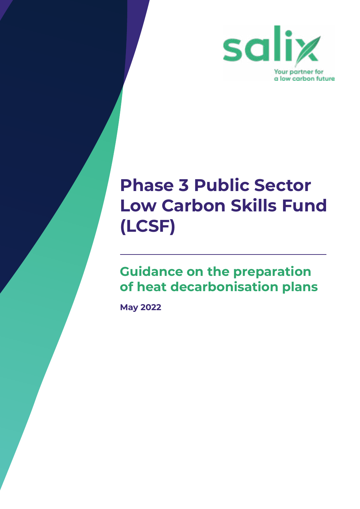

### **Phase 3 Public Sector Low Carbon Skills Fund (LCSF)**

#### **Guidance on the preparation of heat decarbonisation plans**

**May 2022**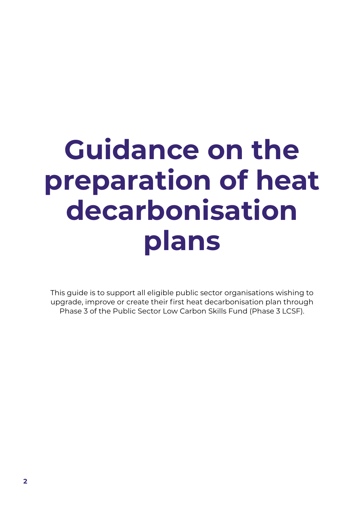# **Guidance on the preparation of heat decarbonisation plans**

This guide is to support all eligible public sector organisations wishing to upgrade, improve or create their first heat decarbonisation plan through Phase 3 of the Public Sector Low Carbon Skills Fund (Phase 3 LCSF).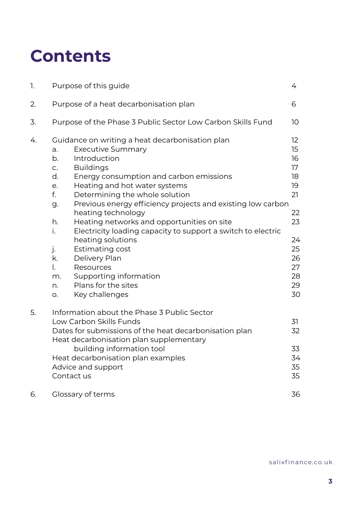### **Contents**

| 1. | Purpose of this guide                                                                                                                                                                                                                                                                                                                                                                                                                                                                                                                                                                                                                                                           | 4                                                                                            |
|----|---------------------------------------------------------------------------------------------------------------------------------------------------------------------------------------------------------------------------------------------------------------------------------------------------------------------------------------------------------------------------------------------------------------------------------------------------------------------------------------------------------------------------------------------------------------------------------------------------------------------------------------------------------------------------------|----------------------------------------------------------------------------------------------|
| 2. | Purpose of a heat decarbonisation plan                                                                                                                                                                                                                                                                                                                                                                                                                                                                                                                                                                                                                                          | 6                                                                                            |
| 3. | Purpose of the Phase 3 Public Sector Low Carbon Skills Fund                                                                                                                                                                                                                                                                                                                                                                                                                                                                                                                                                                                                                     | 10 <sup>°</sup>                                                                              |
| 4. | Guidance on writing a heat decarbonisation plan<br><b>Executive Summary</b><br>а.<br>Introduction<br>b.<br><b>Buildings</b><br>C.<br>d.<br>Energy consumption and carbon emissions<br>Heating and hot water systems<br>e.<br>f.<br>Determining the whole solution<br>Previous energy efficiency projects and existing low carbon<br>g.<br>heating technology<br>h.<br>Heating networks and opportunities on site<br>Electricity loading capacity to support a switch to electric<br>i.<br>heating solutions<br>j.<br>Estimating cost<br>k.<br>Delivery Plan<br>$\overline{a}$<br>Resources<br>Supporting information<br>m.<br>Plans for the sites<br>n.<br>Key challenges<br>O. | 12<br>15<br>16<br>17<br>18<br>19<br>21<br>22<br>23<br>24<br>25<br>26<br>27<br>28<br>29<br>30 |
| 5. | Information about the Phase 3 Public Sector<br>Low Carbon Skills Funds<br>Dates for submissions of the heat decarbonisation plan<br>Heat decarbonisation plan supplementary<br>building information tool<br>Heat decarbonisation plan examples<br>Advice and support<br>Contact us                                                                                                                                                                                                                                                                                                                                                                                              | 31<br>32<br>33<br>34<br>35<br>35                                                             |
| 6. | Glossary of terms                                                                                                                                                                                                                                                                                                                                                                                                                                                                                                                                                                                                                                                               | 36                                                                                           |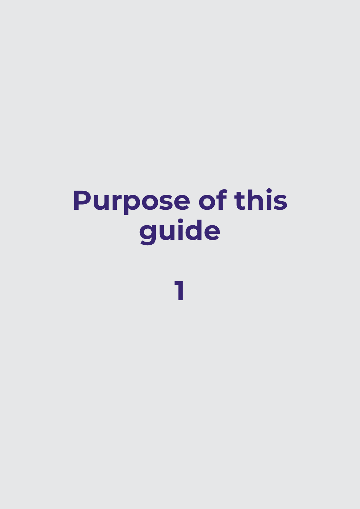# **Purpose of this guide**

**1**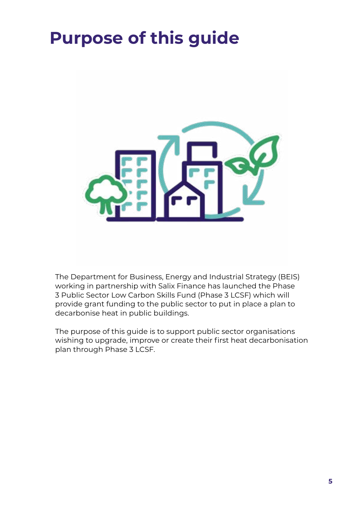### **Purpose of this guide**



The Department for Business, Energy and Industrial Strategy (BEIS) working in partnership with Salix Finance has launched the Phase 3 Public Sector Low Carbon Skills Fund (Phase 3 LCSF) which will provide grant funding to the public sector to put in place a plan to decarbonise heat in public buildings.

The purpose of this guide is to support public sector organisations wishing to upgrade, improve or create their first heat decarbonisation plan through Phase 3 LCSF.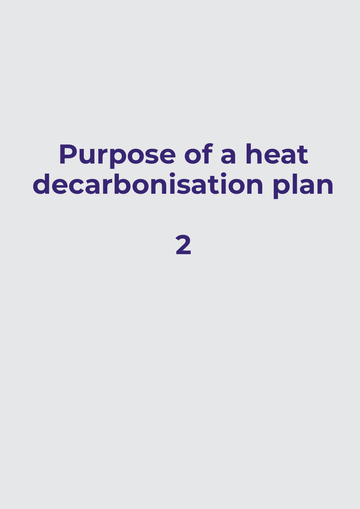# **Purpose of a heat decarbonisation plan**

**2**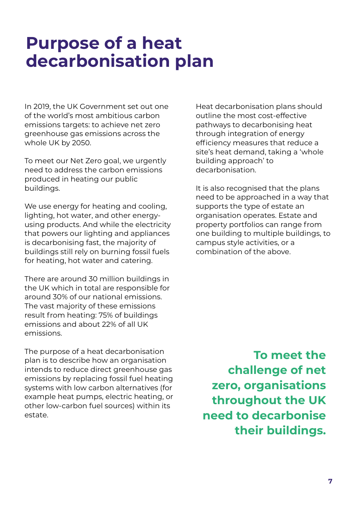#### **Purpose of a heat decarbonisation plan**

In 2019, the UK Government set out one of the world's most ambitious carbon emissions targets: to achieve net zero greenhouse gas emissions across the whole UK by 2050.

To meet our Net Zero goal, we urgently need to address the carbon emissions produced in heating our public buildings.

We use energy for heating and cooling, lighting, hot water, and other energyusing products. And while the electricity that powers our lighting and appliances is decarbonising fast, the majority of buildings still rely on burning fossil fuels for heating, hot water and catering.

There are around 30 million buildings in the UK which in total are responsible for around 30% of our national emissions. The vast majority of these emissions result from heating: 75% of buildings emissions and about 22% of all UK emissions.

The purpose of a heat decarbonisation plan is to describe how an organisation intends to reduce direct greenhouse gas emissions by replacing fossil fuel heating systems with low carbon alternatives (for example heat pumps, electric heating, or other low-carbon fuel sources) within its estate.

Heat decarbonisation plans should outline the most cost-effective pathways to decarbonising heat through integration of energy efficiency measures that reduce a site's heat demand, taking a 'whole building approach' to decarbonisation.

It is also recognised that the plans need to be approached in a way that supports the type of estate an organisation operates. Estate and property portfolios can range from one building to multiple buildings, to campus style activities, or a combination of the above.

**To meet the challenge of net zero, organisations throughout the UK need to decarbonise their buildings.**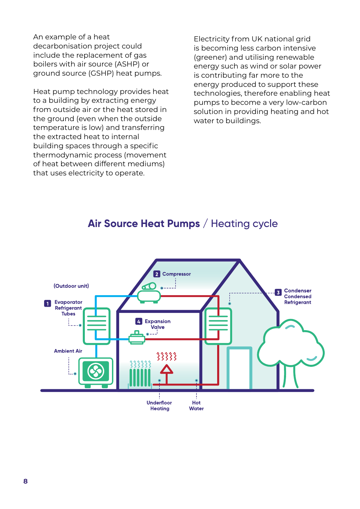An example of a heat decarbonisation project could include the replacement of gas boilers with air source (ASHP) or ground source (GSHP) heat pumps.

Heat pump technology provides heat to a building by extracting energy from outside air or the heat stored in the ground (even when the outside temperature is low) and transferring the extracted heat to internal building spaces through a specific thermodynamic process (movement of heat between different mediums) that uses electricity to operate.

Electricity from UK national grid is becoming less carbon intensive (greener) and utilising renewable energy such as wind or solar power is contributing far more to the energy produced to support these technologies, therefore enabling heat pumps to become a very low-carbon solution in providing heating and hot water to buildings.

#### Air Source Heat Pumps / Heating cycle

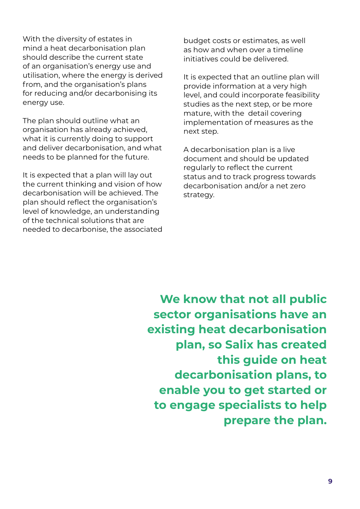With the diversity of estates in mind a heat decarbonisation plan should describe the current state of an organisation's energy use and utilisation, where the energy is derived from, and the organisation's plans for reducing and/or decarbonising its energy use.

The plan should outline what an organisation has already achieved, what it is currently doing to support and deliver decarbonisation, and what needs to be planned for the future.

It is expected that a plan will lay out the current thinking and vision of how decarbonisation will be achieved. The plan should reflect the organisation's level of knowledge, an understanding of the technical solutions that are needed to decarbonise, the associated budget costs or estimates, as well as how and when over a timeline initiatives could be delivered.

It is expected that an outline plan will provide information at a very high level, and could incorporate feasibility studies as the next step, or be more mature, with the detail covering implementation of measures as the next step.

A decarbonisation plan is a live document and should be updated regularly to reflect the current status and to track progress towards decarbonisation and/or a net zero strategy.

**We know that not all public sector organisations have an existing heat decarbonisation plan, so Salix has created this guide on heat decarbonisation plans, to enable you to get started or to engage specialists to help prepare the plan.**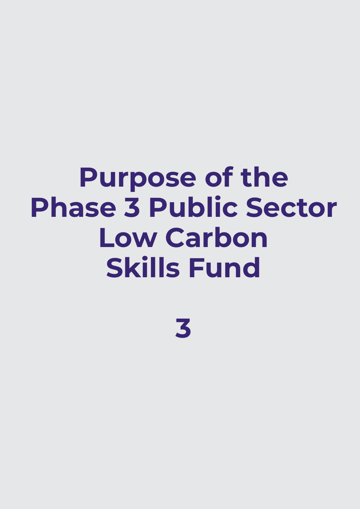# **Purpose of the Phase 3 Public Sector Low Carbon Skills Fund**

**3**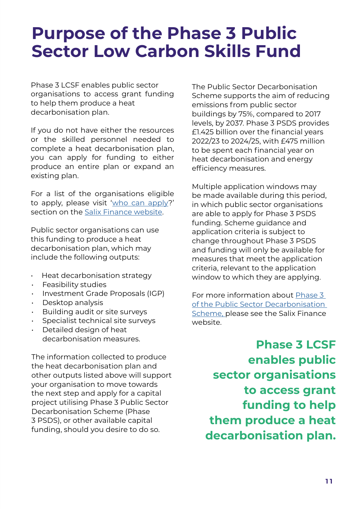#### **Purpose of the Phase 3 Public Sector Low Carbon Skills Fund**

Phase 3 LCSF enables public sector organisations to access grant funding to help them produce a heat decarbonisation plan.

If you do not have either the resources or the skilled personnel needed to complete a heat decarbonisation plan, you can apply for funding to either produce an entire plan or expand an existing plan.

For a list of the organisations eligible to apply, please visit '[who can apply](https://www.salixfinance.co.uk/P3LCSF_Eligibility )?' section on the [Salix Finance website](https://www.salixfinance.co.uk/).

Public sector organisations can use this funding to produce a heat decarbonisation plan, which may include the following outputs:

- Heat decarbonisation strategy
- Feasibility studies
- Investment Grade Proposals (IGP)
- Desktop analysis
- Building audit or site surveys
- Specialist technical site surveys
- Detailed design of heat decarbonisation measures.

The information collected to produce the heat decarbonisation plan and other outputs listed above will support your organisation to move towards the next step and apply for a capital project utilising Phase 3 Public Sector Decarbonisation Scheme (Phase 3 PSDS), or other available capital funding, should you desire to do so.

The Public Sector Decarbonisation Scheme supports the aim of reducing emissions from public sector buildings by 75%, compared to 2017 levels, by 2037. Phase 3 PSDS provides £1.425 billion over the financial years 2022/23 to 2024/25, with £475 million to be spent each financial year on heat decarbonisation and energy efficiency measures.

Multiple application windows may be made available during this period, in which public sector organisations are able to apply for Phase 3 PSDS funding. Scheme guidance and application criteria is subject to change throughout Phase 3 PSDS and funding will only be available for measures that meet the application criteria, relevant to the application window to which they are applying.

For more information about [Phase 3](https://www.salixfinance.co.uk/P3_PSDS)  [of the Public Sector Decarbonisation](https://www.salixfinance.co.uk/P3_PSDS)  [Scheme,](https://www.salixfinance.co.uk/P3_PSDS) please see the Salix Finance website.

**Phase 3 LCSF enables public sector organisations to access grant funding to help them produce a heat decarbonisation plan.**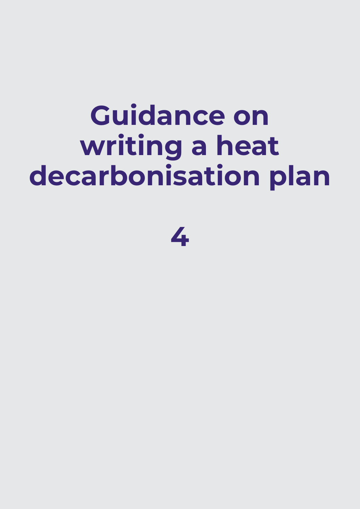# **Guidance on writing a heat decarbonisation plan**

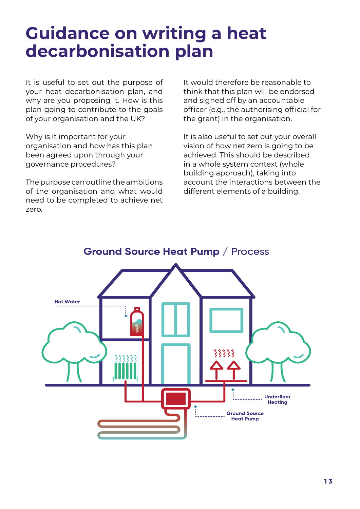### **Guidance on writing a heat decarbonisation plan**

It is useful to set out the purpose of your heat decarbonisation plan, and why are you proposing it. How is this plan going to contribute to the goals of your organisation and the UK?

Why is it important for your organisation and how has this plan been agreed upon through your governance procedures?

The purpose can outline the ambitions of the organisation and what would need to be completed to achieve net zero.

It would therefore be reasonable to think that this plan will be endorsed and signed off by an accountable officer (e.g., the authorising official for the grant) in the organisation.

It is also useful to set out your overall vision of how net zero is going to be achieved. This should be described in a whole system context (whole building approach), taking into account the interactions between the different elements of a building.



#### **Ground Source Heat Pump / Process**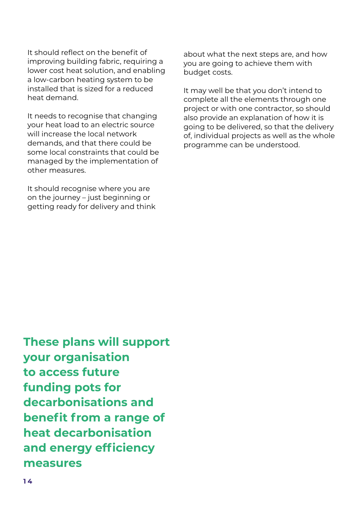It should reflect on the benefit of improving building fabric, requiring a lower cost heat solution, and enabling a low-carbon heating system to be installed that is sized for a reduced heat demand.

It needs to recognise that changing your heat load to an electric source will increase the local network demands, and that there could be some local constraints that could be managed by the implementation of other measures.

It should recognise where you are on the journey – just beginning or getting ready for delivery and think

about what the next steps are, and how you are going to achieve them with budget costs.

It may well be that you don't intend to complete all the elements through one project or with one contractor, so should also provide an explanation of how it is going to be delivered, so that the delivery of, individual projects as well as the whole programme can be understood.

**These plans will support your organisation to access future funding pots for decarbonisations and benefit from a range of heat decarbonisation and energy efficiency measures**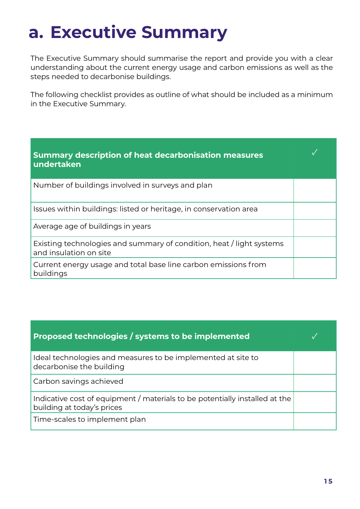### **a. Executive Summary**

The Executive Summary should summarise the report and provide you with a clear understanding about the current energy usage and carbon emissions as well as the steps needed to decarbonise buildings.

The following checklist provides as outline of what should be included as a minimum in the Executive Summary.

| <b>Summary description of heat decarbonisation measures</b><br>undertaken                      |  |
|------------------------------------------------------------------------------------------------|--|
| Number of buildings involved in surveys and plan                                               |  |
| Issues within buildings: listed or heritage, in conservation area                              |  |
| Average age of buildings in years                                                              |  |
| Existing technologies and summary of condition, heat / light systems<br>and insulation on site |  |
| Current energy usage and total base line carbon emissions from<br>buildings                    |  |

| Proposed technologies / systems to be implemented                                                         |  |
|-----------------------------------------------------------------------------------------------------------|--|
| Ideal technologies and measures to be implemented at site to<br>decarbonise the building                  |  |
| Carbon savings achieved                                                                                   |  |
| Indicative cost of equipment / materials to be potentially installed at the<br>building at today's prices |  |
| Time-scales to implement plan                                                                             |  |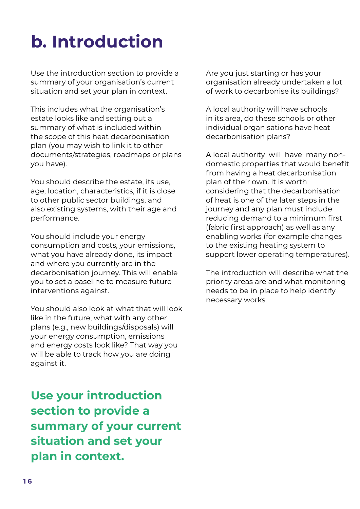## **b. Introduction**

Use the introduction section to provide a summary of your organisation's current situation and set your plan in context.

This includes what the organisation's estate looks like and setting out a summary of what is included within the scope of this heat decarbonisation plan (you may wish to link it to other documents/strategies, roadmaps or plans you have).

You should describe the estate, its use, age, location, characteristics, if it is close to other public sector buildings, and also existing systems, with their age and performance.

You should include your energy consumption and costs, your emissions, what you have already done, its impact and where you currently are in the decarbonisation journey. This will enable you to set a baseline to measure future interventions against.

You should also look at what that will look like in the future, what with any other plans (e.g., new buildings/disposals) will your energy consumption, emissions and energy costs look like? That way you will be able to track how you are doing against it.

**Use your introduction section to provide a summary of your current situation and set your plan in context.**

Are you just starting or has your organisation already undertaken a lot of work to decarbonise its buildings?

A local authority will have schools in its area, do these schools or other individual organisations have heat decarbonisation plans?

A local authority will have many nondomestic properties that would benefit from having a heat decarbonisation plan of their own. It is worth considering that the decarbonisation of heat is one of the later steps in the journey and any plan must include reducing demand to a minimum first (fabric first approach) as well as any enabling works (for example changes to the existing heating system to support lower operating temperatures).

The introduction will describe what the priority areas are and what monitoring needs to be in place to help identify necessary works.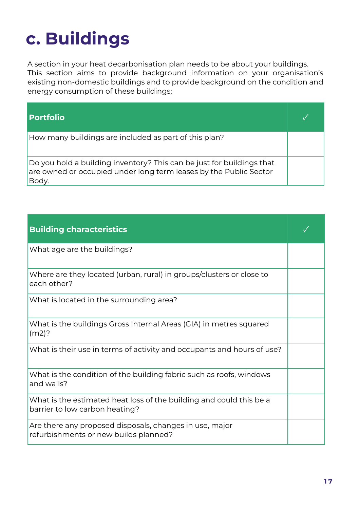## **c. Buildings**

A section in your heat decarbonisation plan needs to be about your buildings. This section aims to provide background information on your organisation's existing non-domestic buildings and to provide background on the condition and energy consumption of these buildings:

| <b>Portfolio</b>                                                                                                                                    |  |
|-----------------------------------------------------------------------------------------------------------------------------------------------------|--|
| How many buildings are included as part of this plan?                                                                                               |  |
| Do you hold a building inventory? This can be just for buildings that<br>are owned or occupied under long term leases by the Public Sector<br>Body. |  |

| <b>Building characteristics</b>                                                                       |  |
|-------------------------------------------------------------------------------------------------------|--|
| What age are the buildings?                                                                           |  |
| Where are they located (urban, rural) in groups/clusters or close to<br>each other?                   |  |
| What is located in the surrounding area?                                                              |  |
| What is the buildings Gross Internal Areas (GIA) in metres squared<br>$(m2)$ ?                        |  |
| What is their use in terms of activity and occupants and hours of use?                                |  |
| What is the condition of the building fabric such as roofs, windows<br>and walls?                     |  |
| What is the estimated heat loss of the building and could this be a<br>barrier to low carbon heating? |  |
| Are there any proposed disposals, changes in use, major<br>refurbishments or new builds planned?      |  |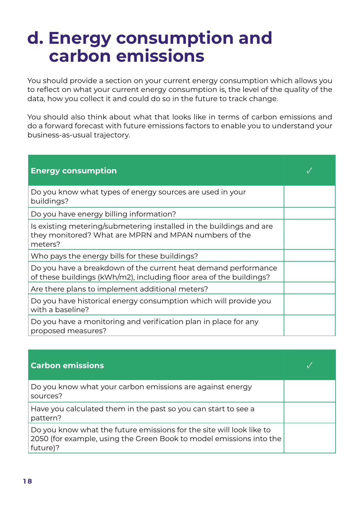#### **d. Energy consumption and carbon emissions**

You should provide a section on your current energy consumption which allows you to reflect on what your current energy consumption is, the level of the quality of the data, how you collect it and could do so in the future to track change.

You should also think about what that looks like in terms of carbon emissions and do a forward forecast with future emissions factors to enable you to understand your business-as-usual trajectory.

| <b>Energy consumption</b>                                                                                                               |  |
|-----------------------------------------------------------------------------------------------------------------------------------------|--|
| Do you know what types of energy sources are used in your<br>buildings?                                                                 |  |
| Do you have energy billing information?                                                                                                 |  |
| Is existing metering/submetering installed in the buildings and are<br>they monitored? What are MPRN and MPAN numbers of the<br>meters? |  |
| Who pays the energy bills for these buildings?                                                                                          |  |
| Do you have a breakdown of the current heat demand performance<br>of these buildings (kWh/m2), including floor area of the buildings?   |  |
| Are there plans to implement additional meters?                                                                                         |  |
| Do you have historical energy consumption which will provide you<br>with a baseline?                                                    |  |
| Do you have a monitoring and verification plan in place for any<br>proposed measures?                                                   |  |

| <b>Carbon emissions</b>                                                                                                                                 |  |
|---------------------------------------------------------------------------------------------------------------------------------------------------------|--|
| Do you know what your carbon emissions are against energy<br>sources?                                                                                   |  |
| Have you calculated them in the past so you can start to see a<br>pattern?                                                                              |  |
| Do you know what the future emissions for the site will look like to<br>2050 (for example, using the Green Book to model emissions into the<br>future)? |  |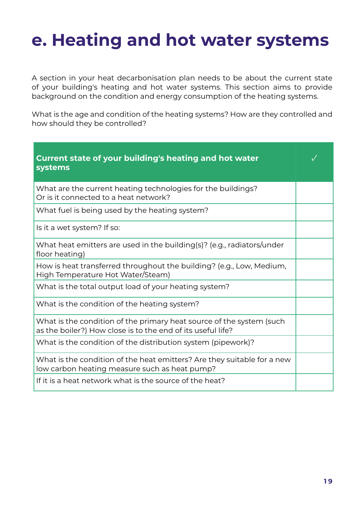### **e. Heating and hot water systems**

A section in your heat decarbonisation plan needs to be about the current state of your building's heating and hot water systems. This section aims to provide background on the condition and energy consumption of the heating systems.

What is the age and condition of the heating systems? How are they controlled and how should they be controlled?

| <b>Current state of your building's heating and hot water</b><br>systems                                                            |  |
|-------------------------------------------------------------------------------------------------------------------------------------|--|
| What are the current heating technologies for the buildings?<br>Or is it connected to a heat network?                               |  |
| What fuel is being used by the heating system?                                                                                      |  |
| Is it a wet system? If so:                                                                                                          |  |
| What heat emitters are used in the building(s)? (e.g., radiators/under<br>floor heating)                                            |  |
| How is heat transferred throughout the building? (e.g., Low, Medium,<br>High Temperature Hot Water/Steam)                           |  |
| What is the total output load of your heating system?                                                                               |  |
| What is the condition of the heating system?                                                                                        |  |
| What is the condition of the primary heat source of the system (such<br>as the boiler?) How close is to the end of its useful life? |  |
| What is the condition of the distribution system (pipework)?                                                                        |  |
| What is the condition of the heat emitters? Are they suitable for a new<br>low carbon heating measure such as heat pump?            |  |
| If it is a heat network what is the source of the heat?                                                                             |  |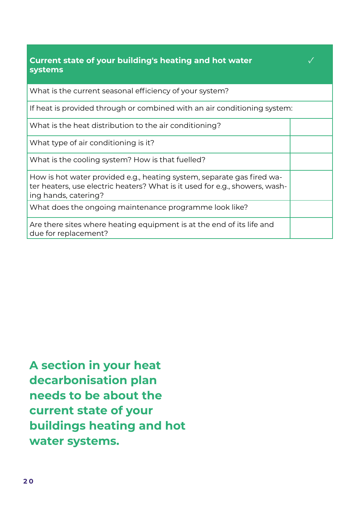| <b>Current state of your building's heating and hot water</b><br>systems                                                                                                      |  |
|-------------------------------------------------------------------------------------------------------------------------------------------------------------------------------|--|
| What is the current seasonal efficiency of your system?                                                                                                                       |  |
| If heat is provided through or combined with an air conditioning system:                                                                                                      |  |
| What is the heat distribution to the air conditioning?                                                                                                                        |  |
| What type of air conditioning is it?                                                                                                                                          |  |
| What is the cooling system? How is that fuelled?                                                                                                                              |  |
| How is hot water provided e.g., heating system, separate gas fired wa-<br>ter heaters, use electric heaters? What is it used for e.g., showers, wash-<br>ing hands, catering? |  |
| What does the ongoing maintenance programme look like?                                                                                                                        |  |
| Are there sites where heating equipment is at the end of its life and<br>due for replacement?                                                                                 |  |

**A section in your heat decarbonisation plan needs to be about the current state of your buildings heating and hot water systems.**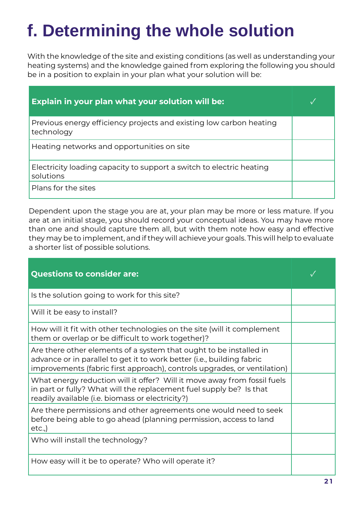## **f. Determining the whole solution**

With the knowledge of the site and existing conditions (as well as understanding your heating systems) and the knowledge gained from exploring the following you should be in a position to explain in your plan what your solution will be:

| Explain in your plan what your solution will be:                                  |  |
|-----------------------------------------------------------------------------------|--|
| Previous energy efficiency projects and existing low carbon heating<br>technology |  |
| Heating networks and opportunities on site                                        |  |
| Electricity loading capacity to support a switch to electric heating<br>solutions |  |
| Plans for the sites                                                               |  |

Dependent upon the stage you are at, your plan may be more or less mature. If you are at an initial stage, you should record your conceptual ideas. You may have more than one and should capture them all, but with them note how easy and effective they may be to implement, and if they will achieve your goals. This will help to evaluate a shorter list of possible solutions.

| <b>Questions to consider are:</b>                                                                                                                                                                                        |  |
|--------------------------------------------------------------------------------------------------------------------------------------------------------------------------------------------------------------------------|--|
| Is the solution going to work for this site?                                                                                                                                                                             |  |
| Will it be easy to install?                                                                                                                                                                                              |  |
| How will it fit with other technologies on the site (will it complement<br>them or overlap or be difficult to work together)?                                                                                            |  |
| Are there other elements of a system that ought to be installed in<br>advance or in parallel to get it to work better (i.e., building fabric<br>improvements (fabric first approach), controls upgrades, or ventilation) |  |
| What energy reduction will it offer? Will it move away from fossil fuels<br>in part or fully? What will the replacement fuel supply be? Is that<br>readily available (i.e. biomass or electricity?)                      |  |
| Are there permissions and other agreements one would need to seek<br>before being able to go ahead (planning permission, access to land<br>etc.,                                                                         |  |
| Who will install the technology?                                                                                                                                                                                         |  |
| How easy will it be to operate? Who will operate it?                                                                                                                                                                     |  |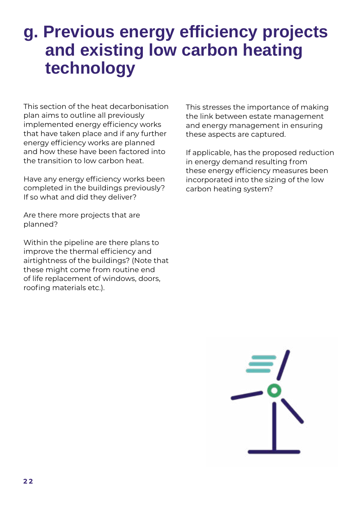#### **g. Previous energy efficiency projects and existing low carbon heating technology**

This section of the heat decarbonisation plan aims to outline all previously implemented energy efficiency works that have taken place and if any further energy efficiency works are planned and how these have been factored into the transition to low carbon heat.

Have any energy efficiency works been completed in the buildings previously? If so what and did they deliver?

Are there more projects that are planned?

Within the pipeline are there plans to improve the thermal efficiency and airtightness of the buildings? (Note that these might come from routine end of life replacement of windows, doors, roofing materials etc.).

This stresses the importance of making the link between estate management and energy management in ensuring these aspects are captured.

If applicable, has the proposed reduction in energy demand resulting from these energy efficiency measures been incorporated into the sizing of the low carbon heating system?

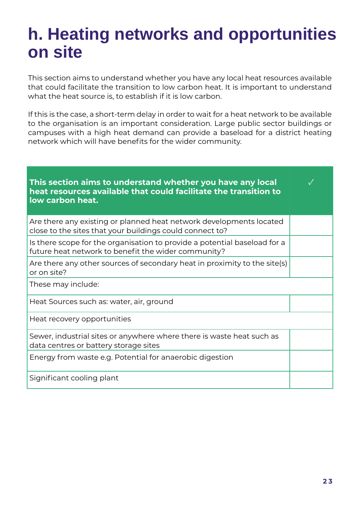#### **h. Heating networks and opportunities on site**

This section aims to understand whether you have any local heat resources available that could facilitate the transition to low carbon heat. It is important to understand what the heat source is, to establish if it is low carbon.

If this is the case, a short-term delay in order to wait for a heat network to be available to the organisation is an important consideration. Large public sector buildings or campuses with a high heat demand can provide a baseload for a district heating network which will have benefits for the wider community.

| This section aims to understand whether you have any local<br>heat resources available that could facilitate the transition to<br>low carbon heat. |  |
|----------------------------------------------------------------------------------------------------------------------------------------------------|--|
| Are there any existing or planned heat network developments located<br>close to the sites that your buildings could connect to?                    |  |
| Is there scope for the organisation to provide a potential baseload for a<br>future heat network to benefit the wider community?                   |  |
| Are there any other sources of secondary heat in proximity to the site(s)<br>or on site?                                                           |  |
| These may include:                                                                                                                                 |  |
| Heat Sources such as: water, air, ground                                                                                                           |  |
| Heat recovery opportunities                                                                                                                        |  |
| Sewer, industrial sites or anywhere where there is waste heat such as<br>data centres or battery storage sites                                     |  |
| Energy from waste e.g. Potential for anaerobic digestion                                                                                           |  |
| Significant cooling plant                                                                                                                          |  |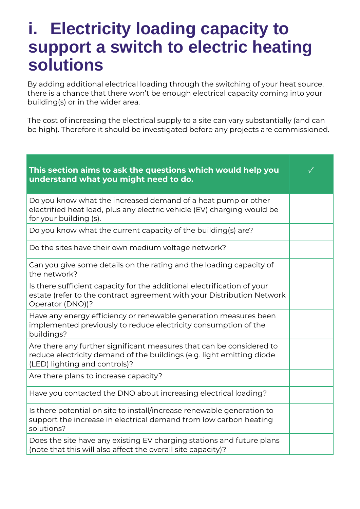#### **i. Electricity loading capacity to support a switch to electric heating solutions**

By adding additional electrical loading through the switching of your heat source, there is a chance that there won't be enough electrical capacity coming into your building(s) or in the wider area.

The cost of increasing the electrical supply to a site can vary substantially (and can be high). Therefore it should be investigated before any projects are commissioned.

| This section aims to ask the questions which would help you<br>understand what you might need to do.                                                                           |  |
|--------------------------------------------------------------------------------------------------------------------------------------------------------------------------------|--|
| Do you know what the increased demand of a heat pump or other<br>electrified heat load, plus any electric vehicle (EV) charging would be<br>for your building (s).             |  |
| Do you know what the current capacity of the building(s) are?                                                                                                                  |  |
| Do the sites have their own medium voltage network?                                                                                                                            |  |
| Can you give some details on the rating and the loading capacity of<br>the network?                                                                                            |  |
| Is there sufficient capacity for the additional electrification of your<br>estate (refer to the contract agreement with your Distribution Network<br>Operator (DNO))?          |  |
| Have any energy efficiency or renewable generation measures been<br>implemented previously to reduce electricity consumption of the<br>buildings?                              |  |
| Are there any further significant measures that can be considered to<br>reduce electricity demand of the buildings (e.g. light emitting diode<br>(LED) lighting and controls)? |  |
| Are there plans to increase capacity?                                                                                                                                          |  |
| Have you contacted the DNO about increasing electrical loading?                                                                                                                |  |
| Is there potential on site to install/increase renewable generation to<br>support the increase in electrical demand from low carbon heating<br>solutions?                      |  |
| Does the site have any existing EV charging stations and future plans<br>(note that this will also affect the overall site capacity)?                                          |  |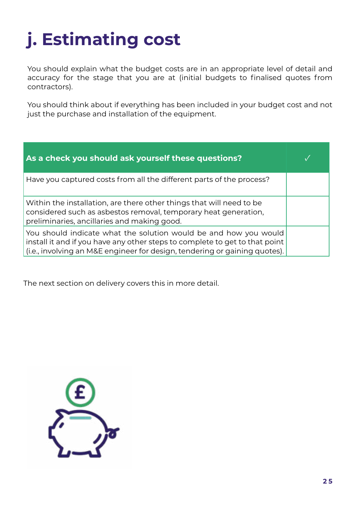## **j. Estimating cost**

You should explain what the budget costs are in an appropriate level of detail and accuracy for the stage that you are at (initial budgets to finalised quotes from contractors).

You should think about if everything has been included in your budget cost and not just the purchase and installation of the equipment.

| As a check you should ask yourself these questions?                                                                                                                                                                           |  |
|-------------------------------------------------------------------------------------------------------------------------------------------------------------------------------------------------------------------------------|--|
| Have you captured costs from all the different parts of the process?                                                                                                                                                          |  |
| Within the installation, are there other things that will need to be<br>considered such as asbestos removal, temporary heat generation,<br>preliminaries, ancillaries and making good.                                        |  |
| You should indicate what the solution would be and how you would<br>install it and if you have any other steps to complete to get to that point<br>(i.e., involving an M&E engineer for design, tendering or gaining quotes). |  |

The next section on delivery covers this in more detail.

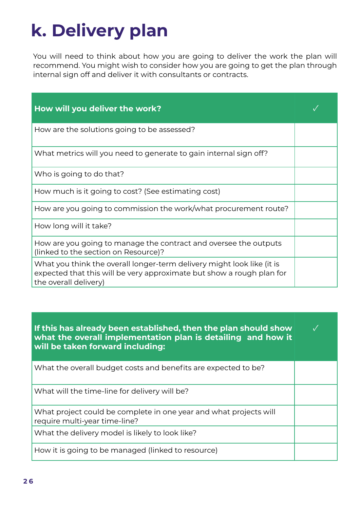## **k. Delivery plan**

You will need to think about how you are going to deliver the work the plan will recommend. You might wish to consider how you are going to get the plan through internal sign off and deliver it with consultants or contracts.

| How will you deliver the work?                                                                                                                                           |  |
|--------------------------------------------------------------------------------------------------------------------------------------------------------------------------|--|
| How are the solutions going to be assessed?                                                                                                                              |  |
| What metrics will you need to generate to gain internal sign off?                                                                                                        |  |
| Who is going to do that?                                                                                                                                                 |  |
| How much is it going to cost? (See estimating cost)                                                                                                                      |  |
| How are you going to commission the work/what procurement route?                                                                                                         |  |
| How long will it take?                                                                                                                                                   |  |
| How are you going to manage the contract and oversee the outputs<br>(linked to the section on Resource)?                                                                 |  |
| What you think the overall longer-term delivery might look like (it is<br>expected that this will be very approximate but show a rough plan for<br>the overall delivery) |  |

| If this has already been established, then the plan should show<br>what the overall implementation plan is detailing and how it<br>will be taken forward including: |  |
|---------------------------------------------------------------------------------------------------------------------------------------------------------------------|--|
| What the overall budget costs and benefits are expected to be?                                                                                                      |  |
| What will the time-line for delivery will be?                                                                                                                       |  |
| What project could be complete in one year and what projects will<br>require multi-year time-line?                                                                  |  |
| What the delivery model is likely to look like?                                                                                                                     |  |
| How it is going to be managed (linked to resource)                                                                                                                  |  |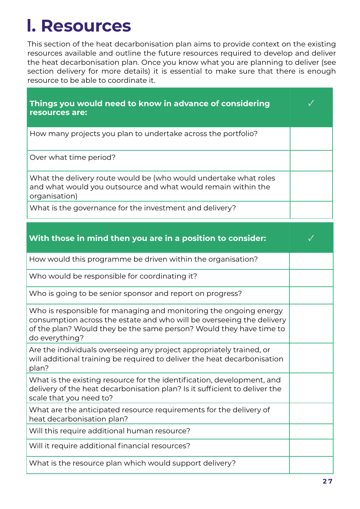#### **l. Resources**

This section of the heat decarbonisation plan aims to provide context on the existing resources available and outline the future resources required to develop and deliver the heat decarbonisation plan. Once you know what you are planning to deliver (see section delivery for more details) it is essential to make sure that there is enough resource to be able to coordinate it.

| Things you would need to know in advance of considering<br>resources are:                                                                          |  |
|----------------------------------------------------------------------------------------------------------------------------------------------------|--|
| How many projects you plan to undertake across the portfolio?                                                                                      |  |
| Over what time period?                                                                                                                             |  |
| What the delivery route would be (who would undertake what roles<br>and what would you outsource and what would remain within the<br>organisation) |  |
| What is the governance for the investment and delivery?                                                                                            |  |

| With those in mind then you are in a position to consider:                                                                                                                                                                          |  |
|-------------------------------------------------------------------------------------------------------------------------------------------------------------------------------------------------------------------------------------|--|
| How would this programme be driven within the organisation?                                                                                                                                                                         |  |
| Who would be responsible for coordinating it?                                                                                                                                                                                       |  |
| Who is going to be senior sponsor and report on progress?                                                                                                                                                                           |  |
| Who is responsible for managing and monitoring the ongoing energy<br>consumption across the estate and who will be overseeing the delivery<br>of the plan? Would they be the same person? Would they have time to<br>do everything? |  |
| Are the individuals overseeing any project appropriately trained, or<br>will additional training be required to deliver the heat decarbonisation<br>plan?                                                                           |  |
| What is the existing resource for the identification, development, and<br>delivery of the heat decarbonisation plan? Is it sufficient to deliver the<br>scale that you need to?                                                     |  |
| What are the anticipated resource requirements for the delivery of<br>heat decarbonisation plan?                                                                                                                                    |  |
| Will this require additional human resource?                                                                                                                                                                                        |  |
| Will it require additional financial resources?                                                                                                                                                                                     |  |
| What is the resource plan which would support delivery?                                                                                                                                                                             |  |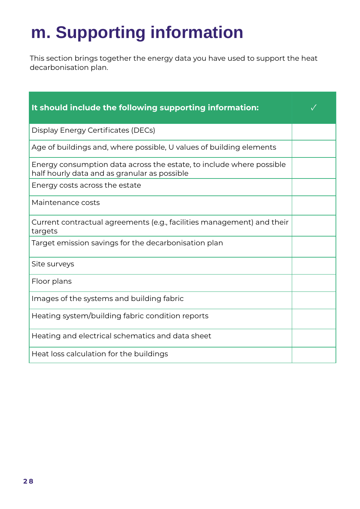### **m. Supporting information**

This section brings together the energy data you have used to support the heat decarbonisation plan.

| It should include the following supporting information:                                                              |  |
|----------------------------------------------------------------------------------------------------------------------|--|
| Display Energy Certificates (DECs)                                                                                   |  |
| Age of buildings and, where possible, U values of building elements                                                  |  |
| Energy consumption data across the estate, to include where possible<br>half hourly data and as granular as possible |  |
| Energy costs across the estate                                                                                       |  |
| Maintenance costs                                                                                                    |  |
| Current contractual agreements (e.g., facilities management) and their<br>targets                                    |  |
| Target emission savings for the decarbonisation plan                                                                 |  |
| Site surveys                                                                                                         |  |
| Floor plans                                                                                                          |  |
| Images of the systems and building fabric                                                                            |  |
| Heating system/building fabric condition reports                                                                     |  |
| Heating and electrical schematics and data sheet                                                                     |  |
| Heat loss calculation for the buildings                                                                              |  |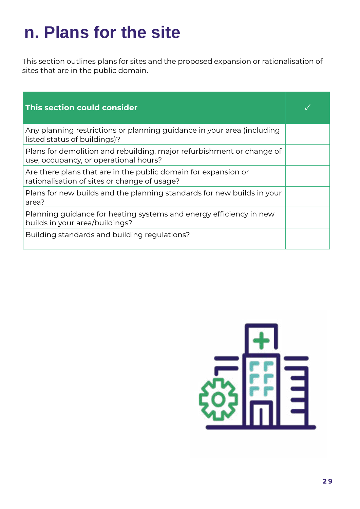### **n. Plans for the site**

This section outlines plans for sites and the proposed expansion or rationalisation of sites that are in the public domain.

| This section could consider                                                                                    |  |
|----------------------------------------------------------------------------------------------------------------|--|
| Any planning restrictions or planning guidance in your area (including<br>listed status of buildings)?         |  |
| Plans for demolition and rebuilding, major refurbishment or change of<br>use, occupancy, or operational hours? |  |
| Are there plans that are in the public domain for expansion or<br>rationalisation of sites or change of usage? |  |
| Plans for new builds and the planning standards for new builds in your<br>area?                                |  |
| Planning guidance for heating systems and energy efficiency in new<br>builds in your area/buildings?           |  |
| Building standards and building regulations?                                                                   |  |

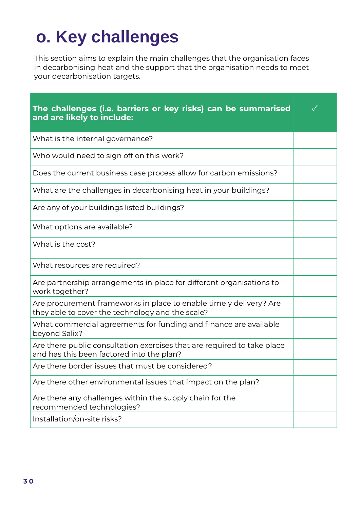## **o. Key challenges**

This section aims to explain the main challenges that the organisation faces in decarbonising heat and the support that the organisation needs to meet your decarbonisation targets.

| The challenges (i.e. barriers or key risks) can be summarised<br>and are likely to include:                            |  |
|------------------------------------------------------------------------------------------------------------------------|--|
| What is the internal governance?                                                                                       |  |
| Who would need to sign off on this work?                                                                               |  |
| Does the current business case process allow for carbon emissions?                                                     |  |
| What are the challenges in decarbonising heat in your buildings?                                                       |  |
| Are any of your buildings listed buildings?                                                                            |  |
| What options are available?                                                                                            |  |
| What is the cost?                                                                                                      |  |
| What resources are required?                                                                                           |  |
| Are partnership arrangements in place for different organisations to<br>work together?                                 |  |
| Are procurement frameworks in place to enable timely delivery? Are<br>they able to cover the technology and the scale? |  |
| What commercial agreements for funding and finance are available<br>beyond Salix?                                      |  |
| Are there public consultation exercises that are required to take place<br>and has this been factored into the plan?   |  |
| Are there border issues that must be considered?                                                                       |  |
| Are there other environmental issues that impact on the plan?                                                          |  |
| Are there any challenges within the supply chain for the<br>recommended technologies?                                  |  |
| Installation/on-site risks?                                                                                            |  |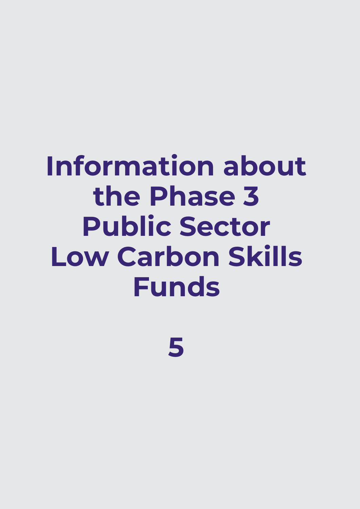# **Information about the Phase 3 Public Sector Low Carbon Skills Funds**

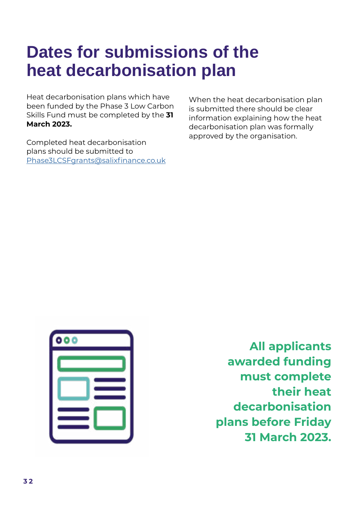#### **Dates for submissions of the heat decarbonisation plan**

Heat decarbonisation plans which have been funded by the Phase 3 Low Carbon Skills Fund must be completed by the **31 March 2023.**

Completed heat decarbonisation plans should be submitted to [Phase3LCSFgrants@salixfinance.co.uk](mailto:Phase3LCSFgrants%40salixfinance.co.uk?subject=Phase%203%20LCSF%20Decarbonisation%20Plan)

When the heat decarbonisation plan is submitted there should be clear information explaining how the heat decarbonisation plan was formally approved by the organisation.



**All applicants awarded funding must complete their heat decarbonisation plans before Friday 31 March 2023.**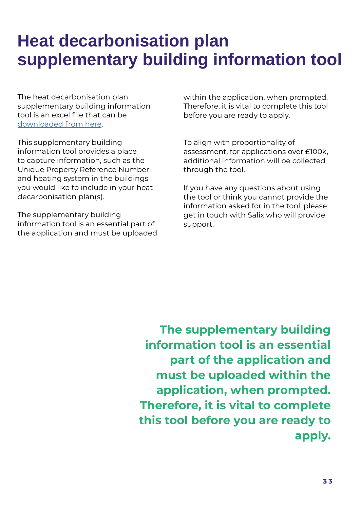#### **Heat decarbonisation plan supplementary building information tool**

The heat decarbonisation plan supplementary building information tool is an excel file that can be [downloaded from](https://www.salixfinance.co.uk/sites/default/files/Phase%203%20LCSF%20-%20Supplementary%20Building%20Information%20Tool%20%28Clients%20Copy%29.xlsx) here.

This supplementary building information tool provides a place to capture information, such as the Unique Property Reference Number and heating system in the buildings you would like to include in your heat decarbonisation plan(s).

The supplementary building information tool is an essential part of the application and must be uploaded within the application, when prompted. Therefore, it is vital to complete this tool before you are ready to apply.

To align with proportionality of assessment, for applications over £100k, additional information will be collected through the tool.

If you have any questions about using the tool or think you cannot provide the information asked for in the tool, please get in touch with Salix who will provide support.

**The supplementary building information tool is an essential part of the application and must be uploaded within the application, when prompted. Therefore, it is vital to complete this tool before you are ready to apply.**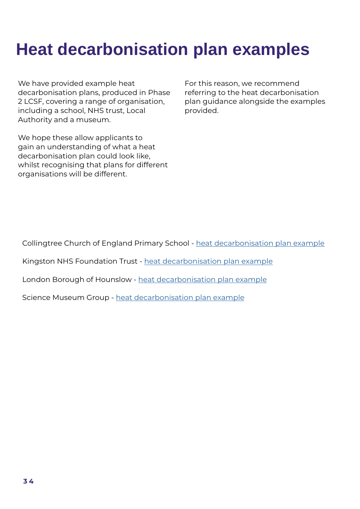### **Heat decarbonisation plan examples**

We have provided example heat decarbonisation plans, produced in Phase 2 LCSF, covering a range of organisation, including a school, NHS trust, Local Authority and a museum.

We hope these allow applicants to gain an understanding of what a heat decarbonisation plan could look like, whilst recognising that plans for different organisations will be different.

For this reason, we recommend referring to the heat decarbonisation plan guidance alongside the examples provided.

Collingtree Church of England Primary School - [heat decarbonisation plan example](https://www.salixfinance.co.uk/sites/default/files/Collingtree%20Church%20of%20England%20Primary%20School%20-%20HDP.pdf)

Kingston NHS Foundation Trust - [heat decarbonisation plan example](https://www.salixfinance.co.uk/sites/default/files/Kingston%20Hospital%20-%20HDP.pdf)

London Borough of Hounslow - [heat decarbonisation plan example](https://www.salixfinance.co.uk/sites/default/files/London%20Borough%20of%20Hounslow%20-%20HDP.pdf)

Science Museum Group - [heat decarbonisation plan example](https://www.salixfinance.co.uk/sites/default/files/Science%20Museum%20Group%20-%20HDP.pdf)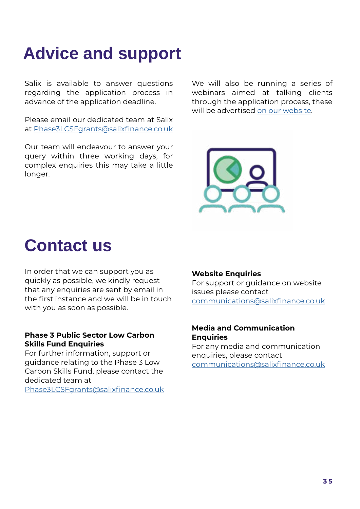### **Advice and support**

Salix is available to answer questions regarding the application process in advance of the application deadline.

Please email our dedicated team at Salix at [Phase3LCSFgrants@salixfinance.co.uk](mailto:Phase3LCSFgrants%40salixfinance.co.uk?subject=)

Our team will endeavour to answer your query within three working days, for complex enquiries this may take a little longer.

We will also be running a series of webinars aimed at talking clients through the application process, these will be advertised [on our website.](https://www.salixfinance.co.uk/P3LCSF_Webinars)



#### **Contact us**

In order that we can support you as quickly as possible, we kindly request that any enquiries are sent by email in the first instance and we will be in touch with you as soon as possible.

#### **Phase 3 Public Sector Low Carbon Skills Fund Enquiries**

For further information, support or guidance relating to the Phase 3 Low Carbon Skills Fund, please contact the dedicated team at

[Phase3LCSFgrants@salixfinance.co.uk](mailto:Phase3LCSFgrants%40salixfinance.co.uk%20?subject=LCSF%203)

#### **Website Enquiries**

For support or guidance on website issues please contact [communications@salixfinance.co.uk](mailto:communications%40salixfinance.co.uk%20?subject=LCSF%20Website)

#### **Media and Communication Enquiries**

For any media and communication enquiries, please contact [communications@salixfinance.co.uk](mailto:communications%40salixfinance.co.uk%20?subject=LCSF3%20Communication)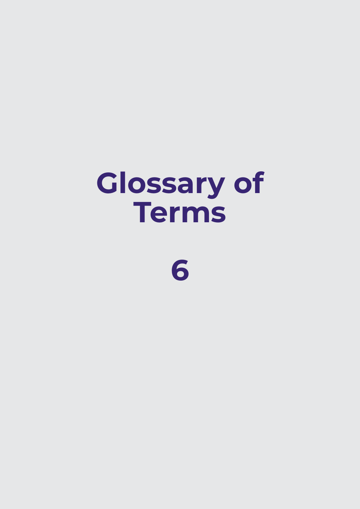# **Glossary of Terms**

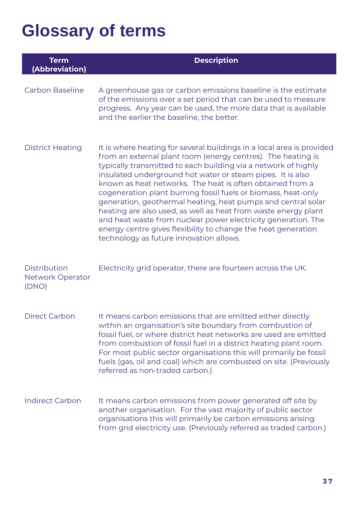## **Glossary of terms**

| <b>Term</b><br>(Abbreviation)                    | <b>Description</b>                                                                                                                                                                                                                                                                                                                                                                                                                                                                                                                                                                                                                                                                                                 |
|--------------------------------------------------|--------------------------------------------------------------------------------------------------------------------------------------------------------------------------------------------------------------------------------------------------------------------------------------------------------------------------------------------------------------------------------------------------------------------------------------------------------------------------------------------------------------------------------------------------------------------------------------------------------------------------------------------------------------------------------------------------------------------|
| <b>Carbon Baseline</b>                           | A greenhouse gas or carbon emissions baseline is the estimate<br>of the emissions over a set period that can be used to measure<br>progress. Any year can be used, the more data that is available<br>and the earlier the baseline, the better.                                                                                                                                                                                                                                                                                                                                                                                                                                                                    |
| <b>District Heating</b>                          | It is where heating for several buildings in a local area is provided<br>from an external plant room (energy centres). The heating is<br>typically transmitted to each building via a network of highly<br>insulated underground hot water or steam pipes. It is also<br>known as heat networks. The heat is often obtained from a<br>cogeneration plant burning fossil fuels or biomass, heat-only<br>generation, geothermal heating, heat pumps and central solar<br>heating are also used, as well as heat from waste energy plant<br>and heat waste from nuclear power electricity generation. The<br>energy centre gives flexibility to change the heat generation<br>technology as future innovation allows. |
| <b>Distribution</b><br>Network Operator<br>(DNO) | Electricity grid operator, there are fourteen across the UK.                                                                                                                                                                                                                                                                                                                                                                                                                                                                                                                                                                                                                                                       |
| <b>Direct Carbon</b>                             | It means carbon emissions that are emitted either directly<br>within an organisation's site boundary from combustion of<br>fossil fuel, or where district heat networks are used are emitted<br>from combustion of fossil fuel in a district heating plant room.<br>For most public sector organisations this will primarily be fossil<br>fuels (gas, oil and coal) which are combusted on site. (Previously<br>referred as non-traded carbon.)                                                                                                                                                                                                                                                                    |
| <b>Indirect Carbon</b>                           | It means carbon emissions from power generated off site by<br>another organisation. For the vast majority of public sector<br>organisations this will primarily be carbon emissions arising<br>from grid electricity use. (Previously referred as traded carbon.)                                                                                                                                                                                                                                                                                                                                                                                                                                                  |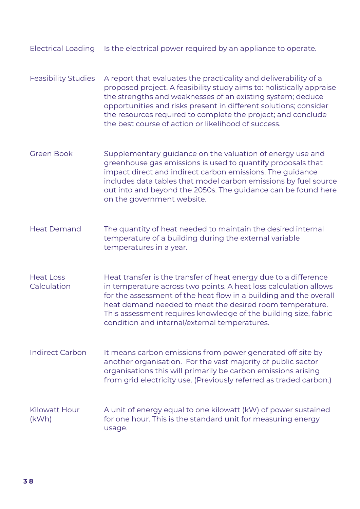- Feasibility Studies A report that evaluates the practicality and deliverability of a proposed project. A feasibility study aims to: holistically appraise the strengths and weaknesses of an existing system; deduce opportunities and risks present in different solutions; consider the resources required to complete the project; and conclude the best course of action or likelihood of success.
- Green Book Supplementary guidance on the valuation of energy use and greenhouse gas emissions is used to quantify proposals that impact direct and indirect carbon emissions. The guidance includes data tables that model carbon emissions by fuel source out into and beyond the 2050s. The guidance can be found here on the government website.
- Heat Demand The quantity of heat needed to maintain the desired internal temperature of a building during the external variable temperatures in a year.
- Heat Loss **Calculation** Heat transfer is the transfer of heat energy due to a difference in temperature across two points. A heat loss calculation allows for the assessment of the heat flow in a building and the overall heat demand needed to meet the desired room temperature. This assessment requires knowledge of the building size, fabric condition and internal/external temperatures.
- Indirect Carbon It means carbon emissions from power generated off site by another organisation. For the vast majority of public sector organisations this will primarily be carbon emissions arising from grid electricity use. (Previously referred as traded carbon.)
- Kilowatt Hour (kWh) A unit of energy equal to one kilowatt (kW) of power sustained for one hour. This is the standard unit for measuring energy usage.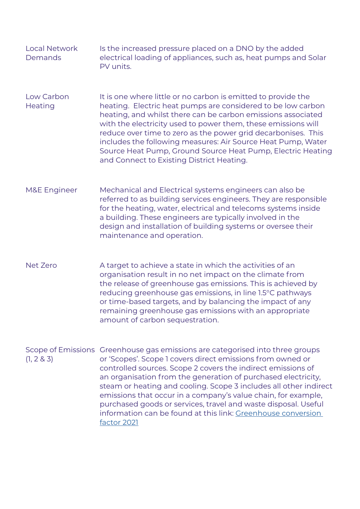| <b>Local Network</b> | Is the increased pressure placed on a DNO by the added          |
|----------------------|-----------------------------------------------------------------|
| Demands              | electrical loading of appliances, such as, heat pumps and Solar |
|                      | PV units.                                                       |

- Low Carbon **Heating** It is one where little or no carbon is emitted to provide the heating. Electric heat pumps are considered to be low carbon heating, and whilst there can be carbon emissions associated with the electricity used to power them, these emissions will reduce over time to zero as the power grid decarbonises. This includes the following measures: Air Source Heat Pump, Water Source Heat Pump, Ground Source Heat Pump, Electric Heating and Connect to Existing District Heating.
- M&E Engineer Mechanical and Electrical systems engineers can also be referred to as building services engineers. They are responsible for the heating, water, electrical and telecoms systems inside a building. These engineers are typically involved in the design and installation of building systems or oversee their maintenance and operation.
- Net Zero A target to achieve a state in which the activities of an organisation result in no net impact on the climate from the release of greenhouse gas emissions. This is achieved by reducing greenhouse gas emissions, in line 1.5°C pathways or time-based targets, and by balancing the impact of any remaining greenhouse gas emissions with an appropriate amount of carbon sequestration.
- Scope of Emissions Greenhouse gas emissions are categorised into three groups (1, 2 & 3) or 'Scopes'. Scope 1 covers direct emissions from owned or controlled sources. Scope 2 covers the indirect emissions of an organisation from the generation of purchased electricity, steam or heating and cooling. Scope 3 includes all other indirect emissions that occur in a company's value chain, for example, purchased goods or services, travel and waste disposal. Useful information can be found at this link: [Greenhouse conversion](https://www.gov.uk/government/publications/greenhouse-gas-reporting-conversion-factors-2021)  [factor 2021](https://www.gov.uk/government/publications/greenhouse-gas-reporting-conversion-factors-2021)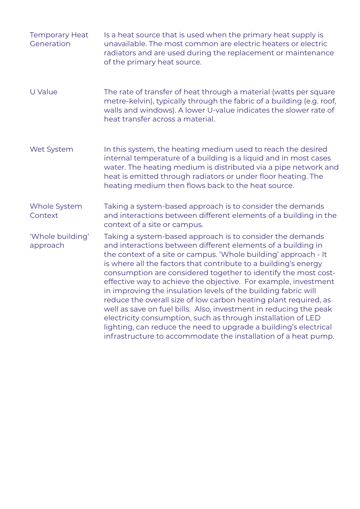| <b>Temporary Heat</b><br>Generation | Is a heat source that is used when the primary heat supply is<br>unavailable. The most common are electric heaters or electric<br>radiators and are used during the replacement or maintenance<br>of the primary heat source.                                                                                                                                                                                                                                                                                                                                                                                                                                                                                                                                                                                         |
|-------------------------------------|-----------------------------------------------------------------------------------------------------------------------------------------------------------------------------------------------------------------------------------------------------------------------------------------------------------------------------------------------------------------------------------------------------------------------------------------------------------------------------------------------------------------------------------------------------------------------------------------------------------------------------------------------------------------------------------------------------------------------------------------------------------------------------------------------------------------------|
| U Value                             | The rate of transfer of heat through a material (watts per square<br>metre-kelvin), typically through the fabric of a building (e.g. roof,<br>walls and windows). A lower U-value indicates the slower rate of<br>heat transfer across a material.                                                                                                                                                                                                                                                                                                                                                                                                                                                                                                                                                                    |
| Wet System                          | In this system, the heating medium used to reach the desired<br>internal temperature of a building is a liquid and in most cases<br>water. The heating medium is distributed via a pipe network and<br>heat is emitted through radiators or under floor heating. The<br>heating medium then flows back to the heat source.                                                                                                                                                                                                                                                                                                                                                                                                                                                                                            |
| Whole System<br>Context             | Taking a system-based approach is to consider the demands<br>and interactions between different elements of a building in the<br>context of a site or campus.                                                                                                                                                                                                                                                                                                                                                                                                                                                                                                                                                                                                                                                         |
| 'Whole building'<br>approach        | Taking a system-based approach is to consider the demands<br>and interactions between different elements of a building in<br>the context of a site or campus. 'Whole building' approach - It<br>is where all the factors that contribute to a building's energy<br>consumption are considered together to identify the most cost-<br>effective way to achieve the objective. For example, investment<br>in improving the insulation levels of the building fabric will<br>reduce the overall size of low carbon heating plant required, as<br>well as save on fuel bills. Also, investment in reducing the peak<br>electricity consumption, such as through installation of LED<br>lighting, can reduce the need to upgrade a building's electrical<br>infrastructure to accommodate the installation of a heat pump. |